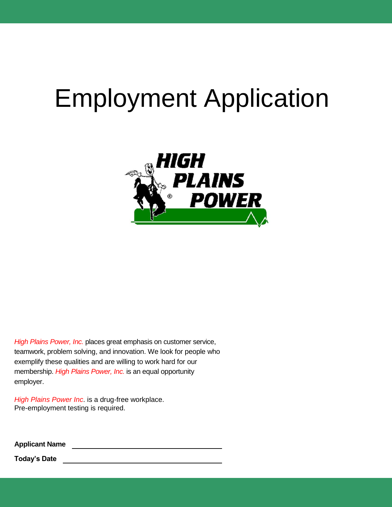# Employment Application



*High Plains Power, Inc.* places great emphasis on customer service, teamwork, problem solving, and innovation. We look for people who exemplify these qualities and are willing to work hard for our membership. *High Plains Power, Inc.* is an equal opportunity employer.

*High Plains Power Inc*. is a drug-free workplace. Pre-employment testing is required.

**Applicant Name**

**Today's Date**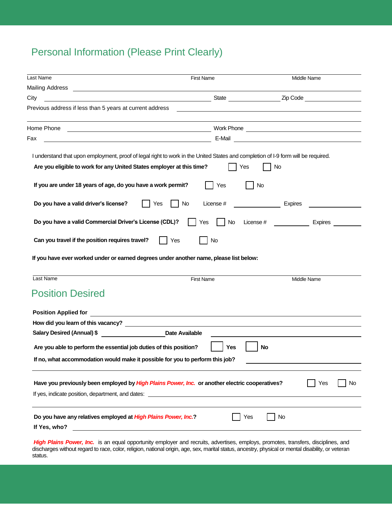# Personal Information (Please Print Clearly)

| Last Name                                                                                                                         | <b>First Name</b>      | <b>Middle Name</b>                                                                                                                                                                                                                  |
|-----------------------------------------------------------------------------------------------------------------------------------|------------------------|-------------------------------------------------------------------------------------------------------------------------------------------------------------------------------------------------------------------------------------|
|                                                                                                                                   |                        |                                                                                                                                                                                                                                     |
| City                                                                                                                              |                        | <b>Example 2</b> in the contract of the contract of the contract of the contract of the contract of the contract of the contract of the contract of the contract of the contract of the contract of the contract of the contract of |
| Previous address if less than 5 years at current address                                                                          |                        |                                                                                                                                                                                                                                     |
|                                                                                                                                   |                        |                                                                                                                                                                                                                                     |
|                                                                                                                                   |                        |                                                                                                                                                                                                                                     |
| Fax<br><u> 1980 - Johann Stoff, deutscher Stoffen und der Stoffen und der Stoffen und der Stoffen und der Stoffen und d</u>       |                        |                                                                                                                                                                                                                                     |
| I understand that upon employment, proof of legal right to work in the United States and completion of I-9 form will be required. |                        |                                                                                                                                                                                                                                     |
| Are you eligible to work for any United States employer at this time?                                                             |                        | Yes<br>No                                                                                                                                                                                                                           |
| If you are under 18 years of age, do you have a work permit?                                                                      | Yes                    | No                                                                                                                                                                                                                                  |
| Do you have a valid driver's license?                                                                                             | No<br>Yes<br>License # | <b>Expires</b>                                                                                                                                                                                                                      |
| Do you have a valid Commercial Driver's License (CDL)?                                                                            | No<br>Yes              | License #<br>$\frac{1}{2}$ and $\frac{1}{2}$ and $\frac{1}{2}$<br><b>Expires</b>                                                                                                                                                    |
| Can you travel if the position requires travel?                                                                                   | Yes<br>No              |                                                                                                                                                                                                                                     |
| If you have ever worked under or earned degrees under another name, please list below:                                            |                        |                                                                                                                                                                                                                                     |
| Last Name                                                                                                                         | <b>First Name</b>      | Middle Name                                                                                                                                                                                                                         |
| <b>Position Desired</b>                                                                                                           |                        |                                                                                                                                                                                                                                     |
|                                                                                                                                   |                        |                                                                                                                                                                                                                                     |
|                                                                                                                                   |                        |                                                                                                                                                                                                                                     |
| Salary Desired (Annual) \$                                                                                                        | <b>Date Available</b>  |                                                                                                                                                                                                                                     |
| Are you able to perform the essential job duties of this position?                                                                | <b>Yes</b>             | No                                                                                                                                                                                                                                  |
| If no, what accommodation would make it possible for you to perform this job?                                                     |                        |                                                                                                                                                                                                                                     |
|                                                                                                                                   |                        |                                                                                                                                                                                                                                     |
| Have you previously been employed by High Plains Power, Inc. or another electric cooperatives?                                    |                        | Yes<br>No.                                                                                                                                                                                                                          |
| If yes, indicate position, department, and dates:                                                                                 |                        |                                                                                                                                                                                                                                     |
|                                                                                                                                   |                        |                                                                                                                                                                                                                                     |
| Do you have any relatives employed at High Plains Power, Inc.?<br>If Yes, who?                                                    |                        | Yes<br>No                                                                                                                                                                                                                           |
|                                                                                                                                   |                        |                                                                                                                                                                                                                                     |

High Plains Power, Inc. is an equal opportunity employer and recruits, advertises, employs, promotes, transfers, disciplines, and discharges without regard to race, color, religion, national origin, age, sex, marital status, ancestry, physical or mental disability, or veteran status.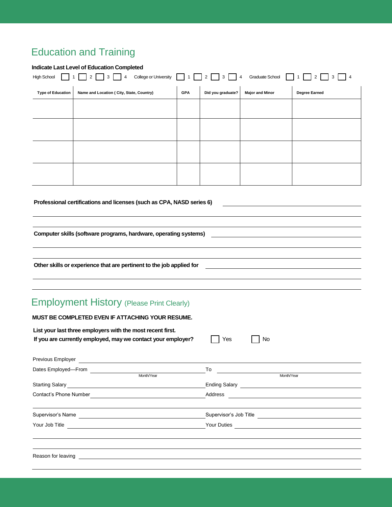# Education and Training

#### **Indicate Last Level of Education Completed**

| 3 4 College or University 1 2 3 4<br>$2 \begin{array}{ c c } 3 \end{array}$ 4<br>Graduate School 1<br>2<br><b>High School</b> |                                           |            |                   |                        |               |
|-------------------------------------------------------------------------------------------------------------------------------|-------------------------------------------|------------|-------------------|------------------------|---------------|
| <b>Type of Education</b>                                                                                                      | Name and Location ( City, State, Country) | <b>GPA</b> | Did you graduate? | <b>Major and Minor</b> | Degree Earned |
|                                                                                                                               |                                           |            |                   |                        |               |
|                                                                                                                               |                                           |            |                   |                        |               |
|                                                                                                                               |                                           |            |                   |                        |               |
|                                                                                                                               |                                           |            |                   |                        |               |
|                                                                                                                               |                                           |            |                   |                        |               |
|                                                                                                                               |                                           |            |                   |                        |               |
|                                                                                                                               |                                           |            |                   |                        |               |

#### **Professional certifications and licenses (such as CPA, NASD series 6)**

**Computer skills (software programs, hardware, operating systems)**

**Other skills or experience that are pertinent to the job applied for**

### Employment History (Please Print Clearly) **MUST BE COMPLETED EVEN IF ATTACHING YOUR RESUME.**

| MUST BE COMPLETED EVEN IF ATTACHING YOUR RESUME.           |                                                                                                                                                                                                                                      |         |                                                                                                                       |  |
|------------------------------------------------------------|--------------------------------------------------------------------------------------------------------------------------------------------------------------------------------------------------------------------------------------|---------|-----------------------------------------------------------------------------------------------------------------------|--|
| List your last three employers with the most recent first. | If you are currently employed, may we contact your employer?                                                                                                                                                                         | Yes     | No                                                                                                                    |  |
|                                                            | Previous Employer <u>experience and the contract of the contract of the contract of the contract of the contract of the contract of the contract of the contract of the contract of the contract of the contract of the contract</u> |         |                                                                                                                       |  |
|                                                            |                                                                                                                                                                                                                                      | To      | <u> 1989 - Johann Barn, mars ann an t-Amhain Aonaichte ann an t-Amhain Aonaichte ann an t-Amhain Aonaichte ann an</u> |  |
|                                                            | Month/Year                                                                                                                                                                                                                           |         | Month/Year                                                                                                            |  |
|                                                            |                                                                                                                                                                                                                                      |         |                                                                                                                       |  |
| Contact's Phone Number                                     |                                                                                                                                                                                                                                      | Address | <u> 1989 - Andrea Station, amerikan bizko a</u>                                                                       |  |
| Supervisor's Name                                          |                                                                                                                                                                                                                                      |         | Supervisor's Job Title <u>experience</u>                                                                              |  |
|                                                            |                                                                                                                                                                                                                                      |         | Your Duties                                                                                                           |  |
|                                                            |                                                                                                                                                                                                                                      |         |                                                                                                                       |  |
| Reason for leaving                                         |                                                                                                                                                                                                                                      |         |                                                                                                                       |  |
|                                                            |                                                                                                                                                                                                                                      |         |                                                                                                                       |  |